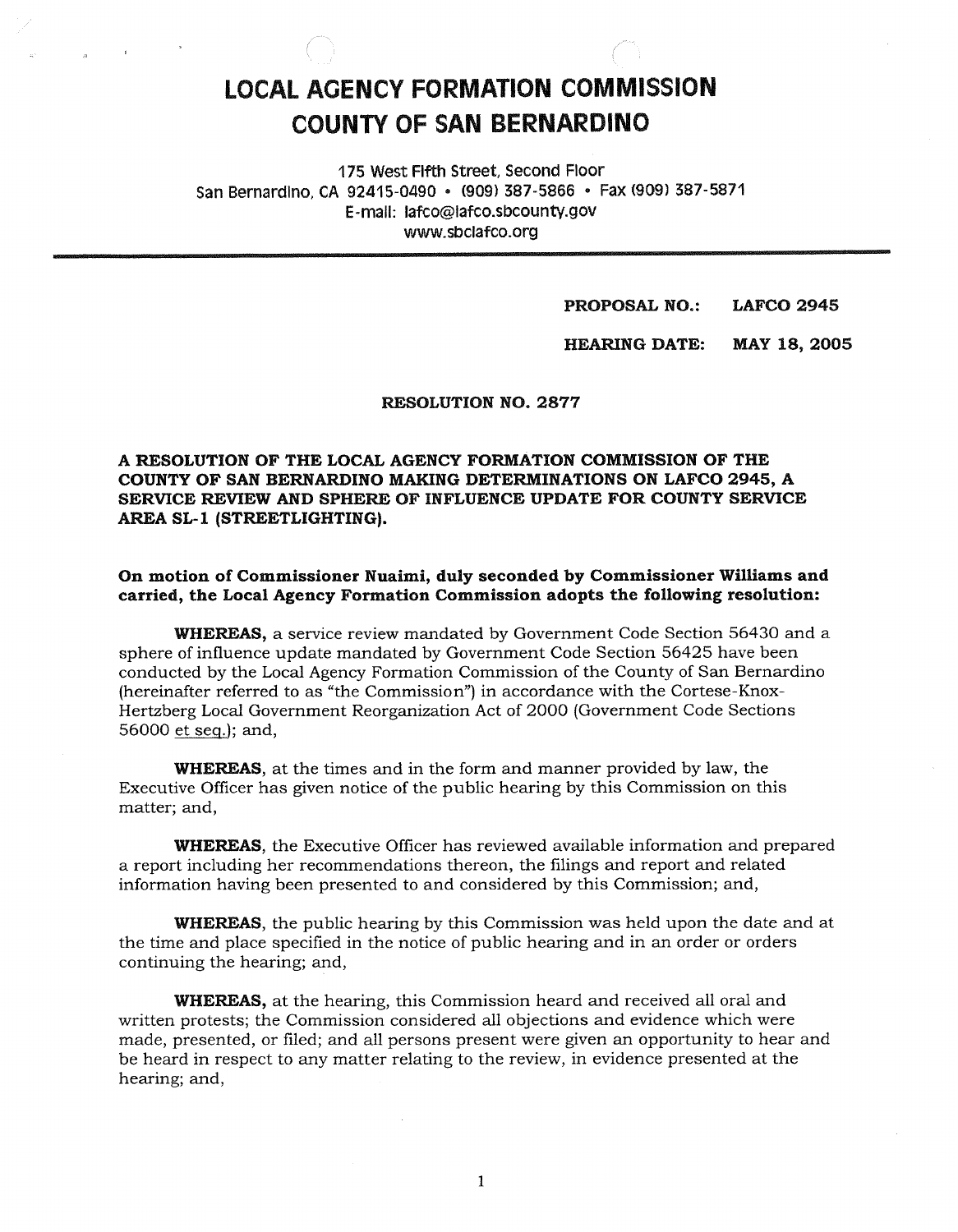# **LOCAL AGENCY FORMATION COMMISSION COUNTY OF SAN BERNARDINO**

175 West Fifth Street, Second Floor San Bernardino, CA 92415-0490 · (909) 387-5866 · Fax (909) 387-5871 E-mail: lafco@lafco.sbcounty.gov www.sbclafco.org

> **PROPOSAL NO.: LAFCO 2945**

HEARING DATE: MAY 18, 2005

RESOLUTION NO. 2877

A RESOLUTION OF THE LOCAL AGENCY FORMATION COMMISSION OF THE COUNTY OF SAN BERNARDINO MAKING DETERMINATIONS ON LAFCO 2945, A SERVICE REVIEW AND SPHERE OF INFLUENCE UPDATE FOR COUNTY SERVICE AREA SL-1 (STREETLIGHTING).

On motion of Commissioner Nuaimi, duly seconded by Commissioner Williams and carried, the Local Agency Formation Commission adopts the following resolution:

WHEREAS, a service review mandated by Government Code Section 56430 and a sphere of influence update mandated by Government Code Section 56425 have been conducted by the Local Agency Formation Commission of the County of San Bernardino (hereinafter referred to as "the Commission") in accordance with the Cortese-Knox-Hertzberg Local Government Reorganization Act of 2000 (Government Code Sections 56000 et seq.), and,

WHEREAS, at the times and in the form and manner provided by law, the Executive Officer has given notice of the public hearing by this Commission on this matter; and,

WHEREAS, the Executive Officer has reviewed available information and prepared a report including her recommendations thereon, the filings and report and related information having been presented to and considered by this Commission; and,

WHEREAS, the public hearing by this Commission was held upon the date and at the time and place specified in the notice of public hearing and in an order or orders continuing the hearing; and,

WHEREAS, at the hearing, this Commission heard and received all oral and written protests; the Commission considered all objections and evidence which were made, presented, or filed; and all persons present were given an opportunity to hear and be heard in respect to any matter relating to the review, in evidence presented at the hearing; and,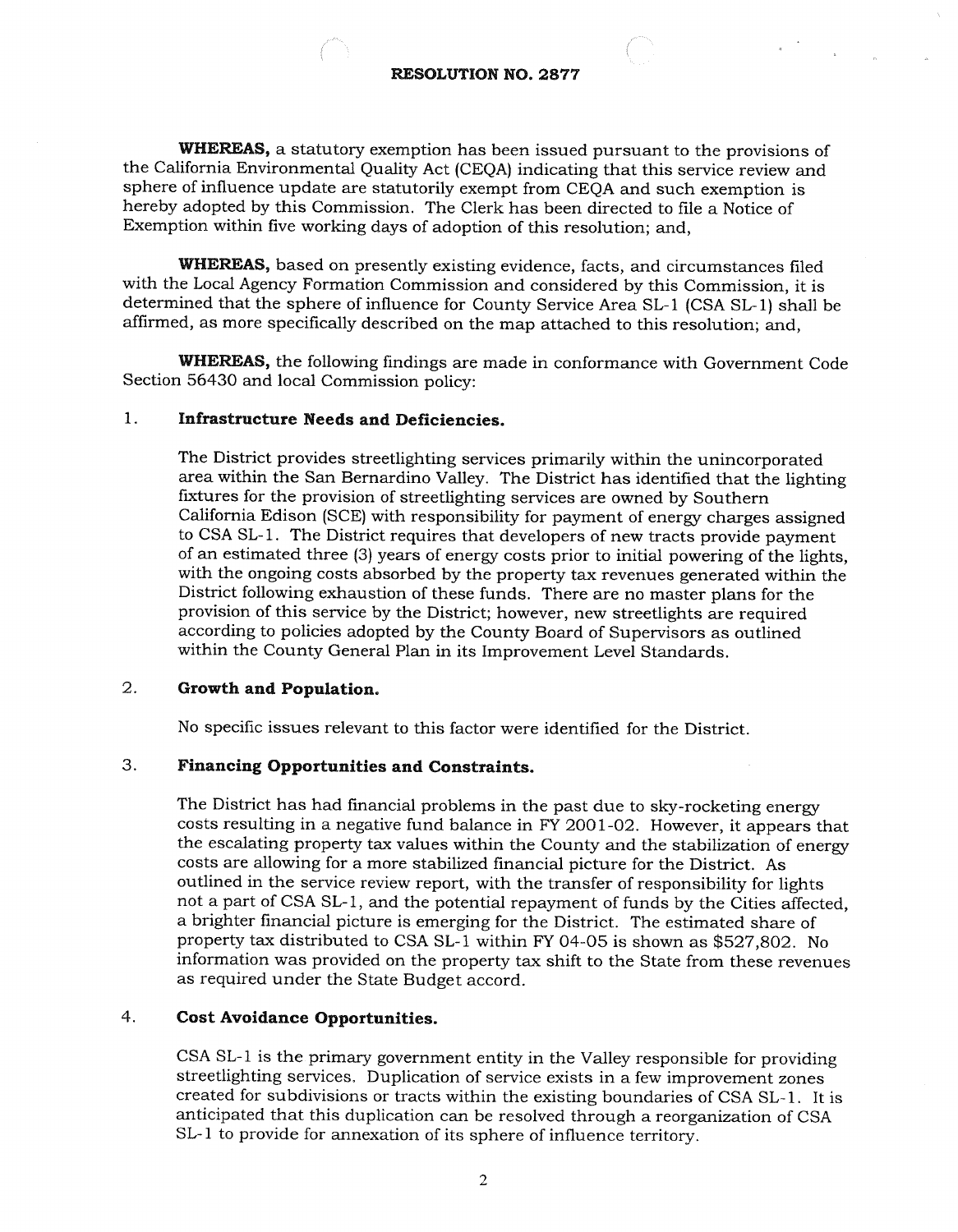WHEREAS, a statutory exemption has been issued pursuant to the provisions of the California Environmental Quality Act (CEQA) indicating that this service review and sphere of influence update are statutorily exempt from CEQA and such exemption is hereby adopted by this Commission. The Clerk has been directed to file a Notice of Exemption within five working days of adoption of this resolution; and,

WHEREAS, based on presently existing evidence, facts, and circumstances filed with the Local Agency Formation Commission and considered by this Commission, it is determined that the sphere of influence for County Service Area SL-1 (CSA SL-1) shall be affirmed, as more specifically described on the map attached to this resolution; and,

WHEREAS, the following findings are made in conformance with Government Code Section 55430 and local Commission policy:

### 1. Infrastructure Needs and Deficiencies.

The District provides streetlighting services primarily within the unincorporated area within the San Bernardino Valley. The District has identified that the lighting fixtures for the provision of streetlighting services are owned by Southern California Edison (SCE) with responsibility for payment of energy charges assigned to CSA SL-1. The District requires that developers of new tracts provide payment of an estimated three (3) years of energy costs prior to initial powering of the lights, with the ongoing costs absorbed by the property tax revenues generated within the District following exhaustion of these funds. There are no master plans for the provision of this service by the District; however, new streetlights are required according to policies adopted by the County Board of Supervisors as outlined within the County General Plan in its Improvement Level Standards.

### 2. Growth and Population.

No specific issues relevant to this factor were identified for the District.

#### 3. Financing Opportunities and Constraints.

The District has had financial problems in the past due to sky-rocketing energy costs resulting in a negative fund balance in FY 2001 -02. However, it appears that the escalating property tax values within the County and the stabilization of energy costs are allowing for a more stabilized financial picture for the District. As outlined in the service review report, with the transfer of responsibility for lights not a part of CSA SL-1, and the potential repayment of funds by the Cities affected. a brighter financial picture is emerging for the District. The estimated share of property tax distributed to CSA SL-1 within FY 04-05 is shown as \$527,802. No information was provided on the property tax shift to the State from these revenues as required under the State Budget accord.

### 4. Cost Avoidance Opportunities.

CSA SL-1 is the primary government entity in the Valley responsible for providing streetlighting services. Duplication of service exists in a few improvement zones created for subdivisions or tracts within the existing boundaries of CSA SL-1. It is anticipated that this duplication can be resolved through a reorganization of CSA SL-1 to provide for annexation of its sphere of influence territory.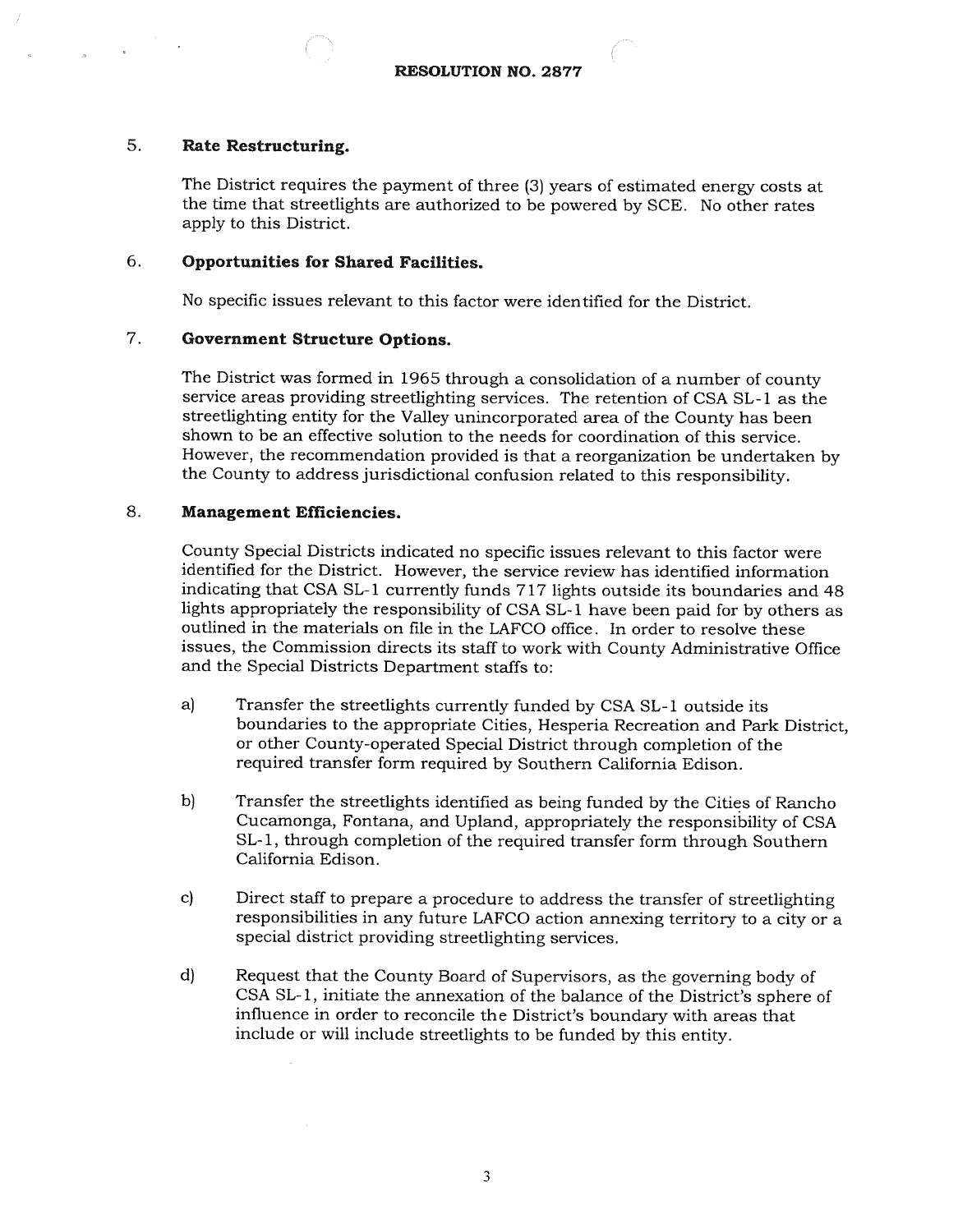# 5. Rate Restructuring.

The District requires the payment of three (3) years of estimated energy costs at the time that streetlights are authorized to be powered by SCE. No other rates apply to this District.

### 6. **Opportunities for Shared Facilities.**

No specific issues relevant to this factor were identified for the District.

#### $7.$ **Government Structure Options.**

The District was formed in 1965 through a consolidation of a number of county service areas providing streetlighting services. The retention of CSA SL -1 as the streetlighting entity for the Valley unincorporated area of the County has been shown to be an effective solution to the needs for coordination of this service. However, the recommendation provided is that a reorganization be undertaken by the County to address jurisdictional confusion related to this responsibility.

# 8. Management Efficiencies.

County Special Districts indicated no specific issues relevant to this factor were identified for the District. However, the service review has identified information indicating that CSA SL-1 currently funds 717 lights outside its boundaries and 48 lights appropriately the responsibility of CSA SL-1 have been paid for by others as outlined in the materials on file in the LAFCO office. In order to resolve these issues, the Commission directs its staff to work with County Administrative Office and the Special Districts Department staffs to:

- a) Transfer the streetlights currently funded by CSA SL-1 outside its boundaries to the appropriate Cities, Hesperia Recreation and Park District, or other County- operated Special District through completion of the required transfer form required by Southern California Edison.
- b) Transfer the streetlights identified as being funded by the Cities of Rancho Cucamonga, Fontana, and Upland, appropriately the responsibility of CSA SL-1, through completion of the required transfer form through Southern California Edison.
- C) Direct staff to prepare a procedure to address the transfer of streetlighting responsibilities in any future LAFCO action annexing territory to a city or a special district providing streetlighting services.
- d) Request that the County Board of Supervisors, as the governing body of CSA SL -1, initiate the annexation of the balance of the District's sphere of influence in order to reconcile the District's boundary with areas that include or will include streetlights to be funded by this entity.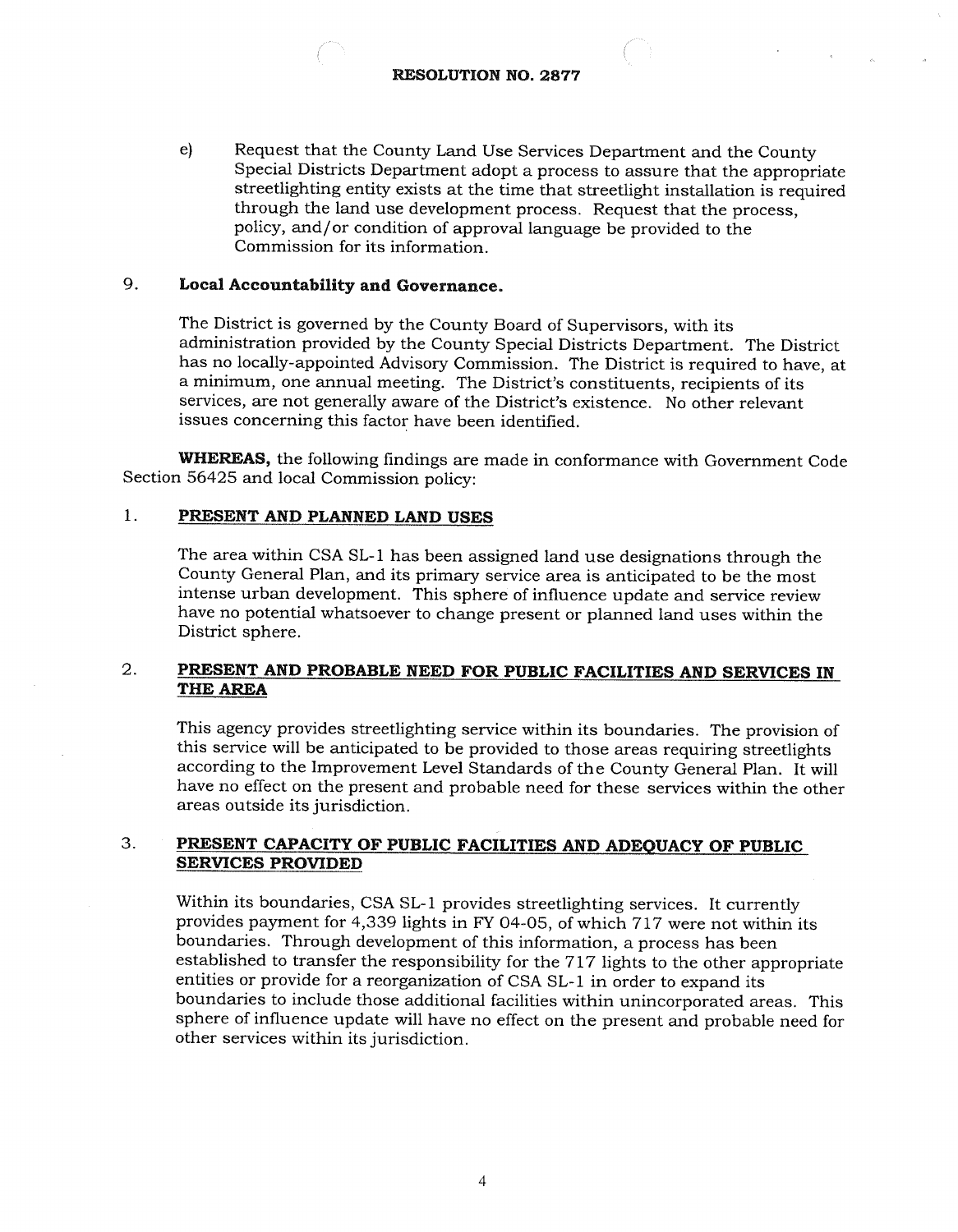e) Request that the County Land Use Services Department and the County Special Districts Department adopt a process to assure that the appropriate streetlighting entity exists at the time that streetlight installation is required through the land use development process. Request that the process, policy, and /or condition of approval language be provided to the Commission for its information.

## 9. Local Accountability and Governance.

The District is governed by the County Board of Supervisors, with its administration provided by the County Special Districts Department. The District has no locally- appointed Advisory Commission. The District is required to have, at a minimum, one annual meeting. The District's constituents, recipients of its services, are not generally aware of the District's existence. No other relevant issues concerning this factor have been identified.

WHEREAS, the following findings are made in conformance with Government Code Section 56425 and local Commission policy:

#### $\mathbf{1}$ . PRESENT AND PLANNED LAND USES

The area within CSA SL-1 has been assigned land use designations through the County General Plan, and its primary service area is anticipated to be the most intense urban development. This sphere of influence update and service review have no potential whatsoever to change present or planned land uses within the District sphere.

### 2. PRESENT AND PROBABLE NEED FOR PUBLIC FACILITIES AND SERVICES IN THE AREA

This agency provides streetlighting service within its boundaries. The provision of this service will be anticipated to be provided to those areas requiring streetlights according to the Improvement Level Standards of the County General Plan. It will have no effect on the present and probable need for these services within the other areas outside its jurisdiction.

### 3. PRESENT CAPACITY OF PUBLIC FACILITIES AND ADEQUACY OF PUBLIC SERVICES PROVIDED

Within its boundaries, CSA SL-1 provides streetlighting services. It currently provides payment for 4, 339 lights in FY 04 -05, of which 717 were not within its boundaries. Through development of this information, a process has been established to transfer the responsibility for the 717 lights to the other appropriate entities or provide for a reorganization of CSA SL-1 in order to expand its boundaries to include those additional facilities within unincorporated areas. This sphere of influence update will have no effect on the present and probable need for other services within its jurisdiction.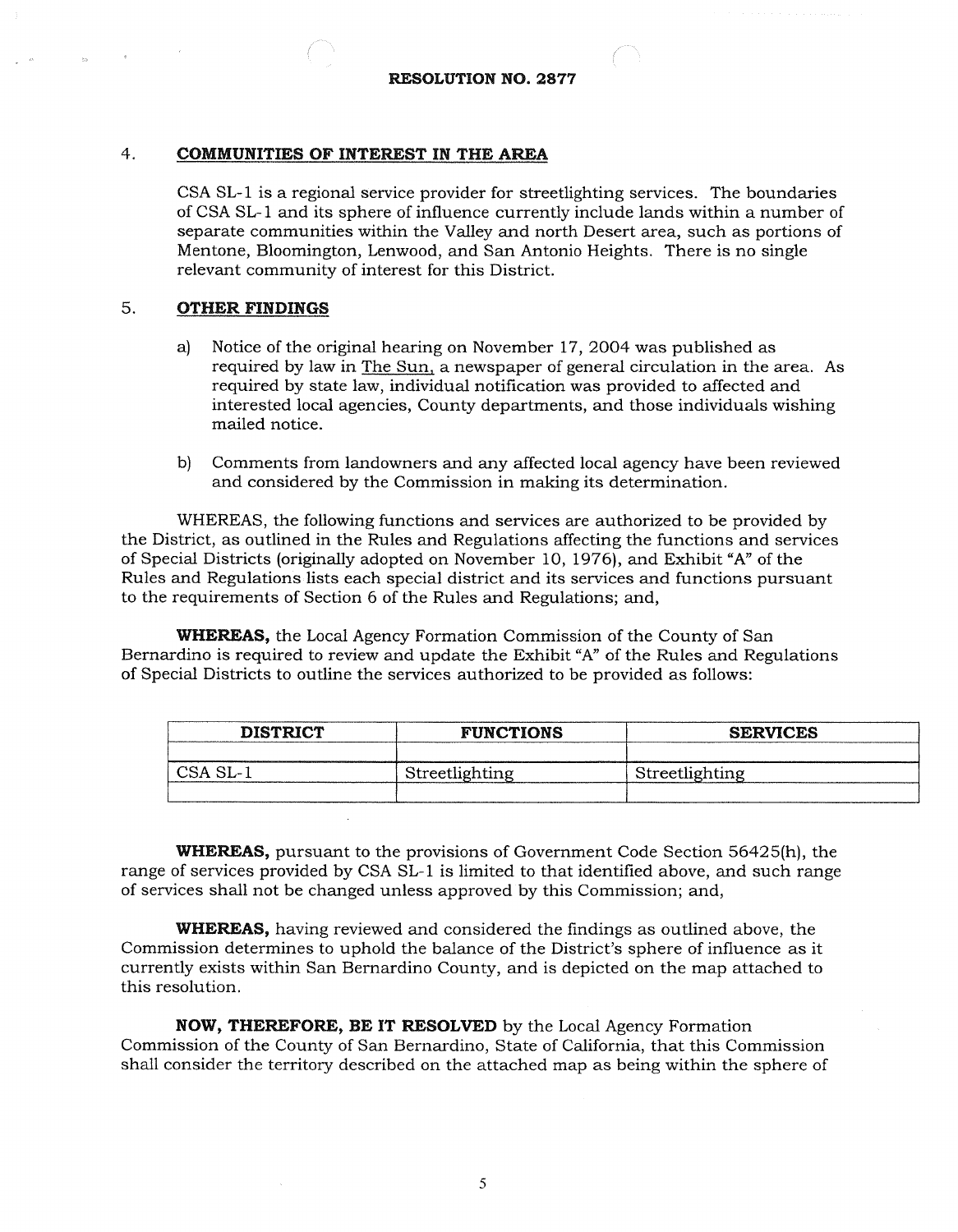#### $4.$ **COMMUNITIES OF INTEREST IN THE AREA**

CSA SL -1 is a regional service provider for streetlighting services. The boundaries of CSA SL-1 and its sphere of influence currently include lands within a number of separate communities within the Valley and north Desert area, such as portions of Mentone, Bloomington, Lenwood, and San Antonio Heights. There is no single relevant community of interest for this District.

#### 5. **OTHER FINDINGS**

- a) Notice of the original hearing on November 17, 2004 was published as required by law in The Sun, a newspaper of general circulation in the area. As required by state law, individual notification was provided to affected and interested local agencies, County departments, and those individuals wishing mailed notice.
- b) Comments from landowners and any affected local agency have been reviewed and considered by the Commission in making its determination.

WHEREAS, the following functions and services are authorized to be provided by the District, as outlined in the Rules and Regulations affecting the functions and services of Special Districts (originally adopted on November 10, 1976), and Exhibit "A" of the Rules and Regulations lists each special district and its services and functions pursuant to the requirements of Section 6 of the Rules and Regulations; and,

WHEREAS, the Local Agency Formation Commission of the County of San Bernardino is required to review and update the Exhibit "A" of the Rules and Regulations of Special Districts to outline the services authorized to be provided as follows:

| <b>DISTRICT</b> | <b>FUNCTIONS</b> | <b>SERVICES</b> |
|-----------------|------------------|-----------------|
|                 |                  |                 |
| CSA SL-         | Streetlighting   | Streetlighting  |
|                 |                  |                 |

WHEREAS, pursuant to the provisions of Government Code Section 56425(h), the range of services provided by CSA SL-1 is limited to that identified above, and such range of services shall not be changed unless approved by this Commission; and,

WHEREAS, having reviewed and considered the findings as outlined above, the Commission determines to uphold the balance of the District's sphere of influence as it currently exists within San Bernardino County, and is depicted on the map attached to this resolution.

NOW, THEREFORE, BE IT RESOLVED by the Local Agency Formation Commission of the County of San Bernardino, State of California, that this Commission shall consider the territory described on the attached map as being within the sphere of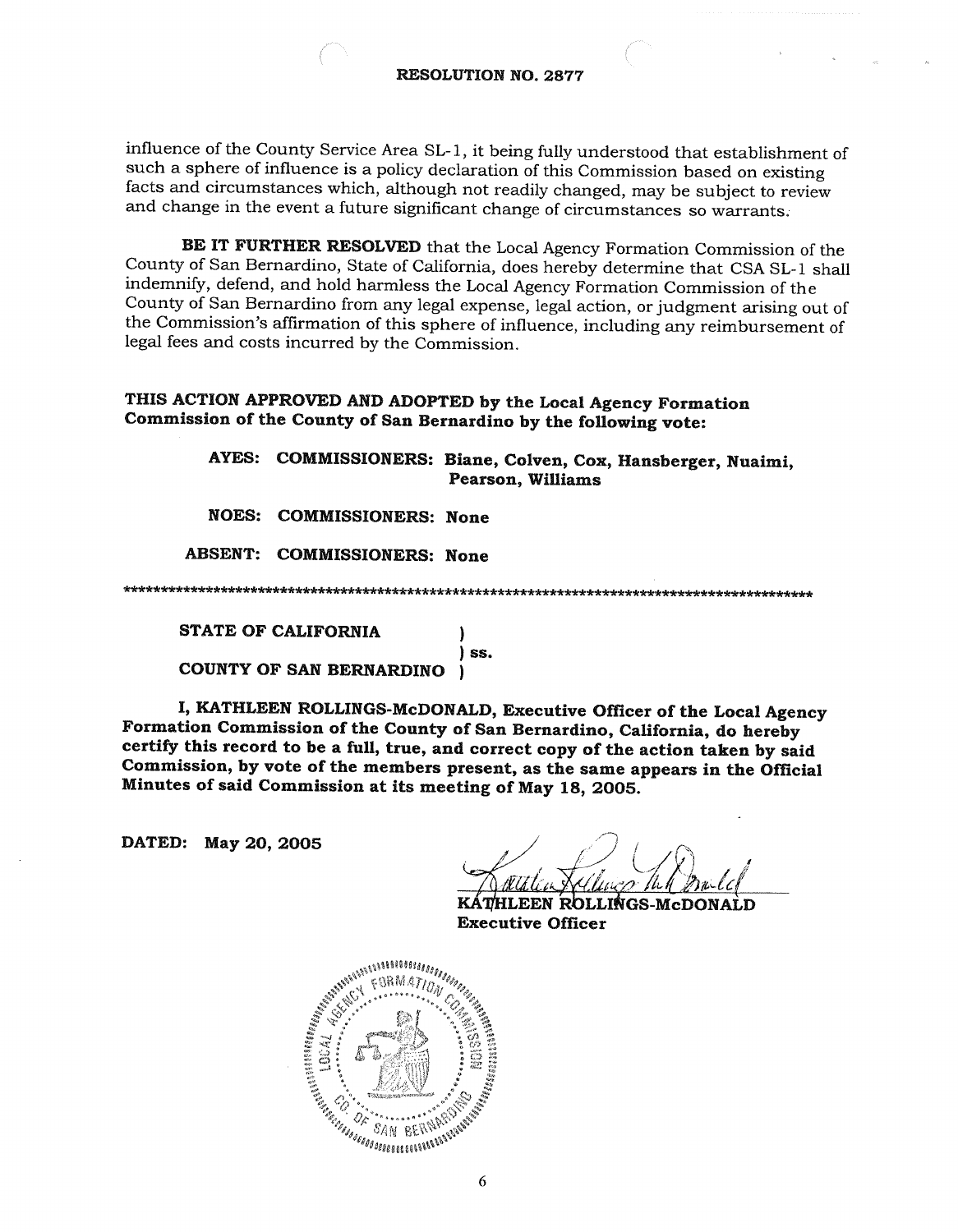influence of the County Service Area SL-1, it being fully understood that establishment of such a sphere of influence is a policy declaration of this Commission based on existing facts and circumstances which, although not readily changed, may be subject to review and change in the event a future significant change of circumstances so warrants.

BE IT FURTHER RESOLVED that the Local Agency Formation Commission of the County of San Bernardino, State of California, does hereby determine that CSA SL-1 shall indemnify, defend, and hold harmless the Local Agency Formation Commission of the County of San Bernardino from any legal expense, legal action, or judgment arising out of the Commission's affirmation of this sphere of influence, including any reimbursement of legal fees and costs incurred by the Commission.

# THIS ACTION APPROVED AND ADOPTED by the Local Agency Formation Commission of the County of San Bernardino by the following vote:

AYES: COMMISSIONERS: Biane, Colven, Cox, Hansberger, Nuaimi, **Pearson, Williams** 

**NOES: COMMISSIONERS: None** 

**ABSENT: COMMISSIONERS: None** 

) ss.

**STATE OF CALIFORNIA** 

COUNTY OF SAN BERNARDINO  $\mathbf{I}$ 

I. KATHLEEN ROLLINGS-McDONALD, Executive Officer of the Local Agency Formation Commission of the County of San Bernardino, California, do hereby certify this record to be a full, true, and correct copy of the action taken by said Commission, by vote of the members present, as the same appears in the Official Minutes of said Commission at its meeting of May 18, 2005.

DATED: May 20, 2005

**HLEEN ROLLINGS-McDONALD Executive Officer**